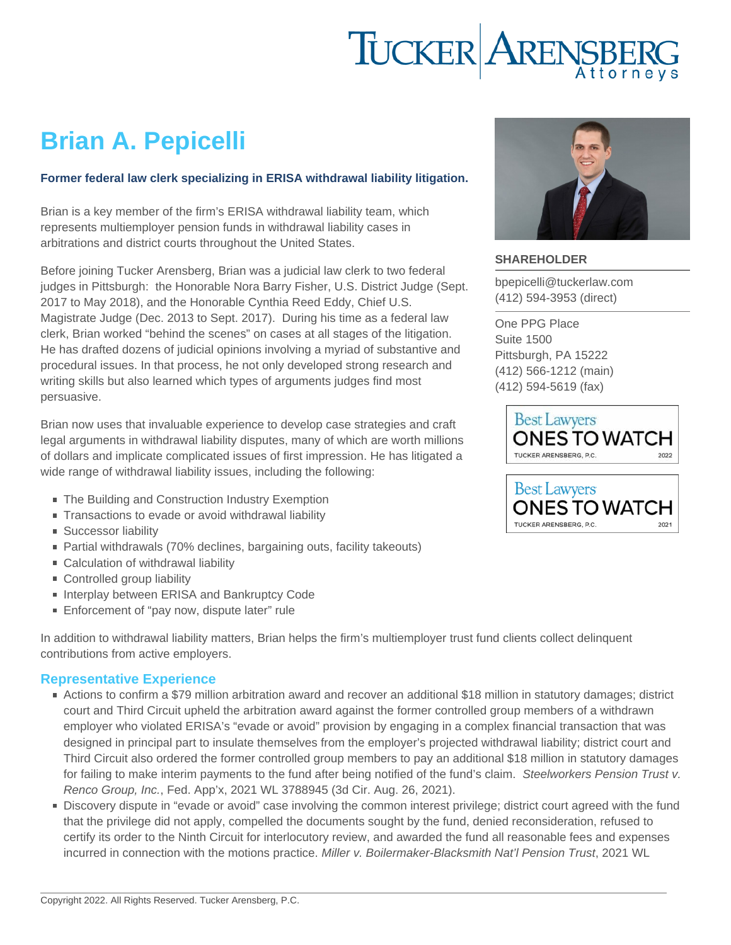# Brian A. Pepicelli

#### Former federal law clerk specializing in ERISA withdrawal liability litigation.

Brian is a key member of the firm's ERISA withdrawal liability team, which represents multiemployer pension funds in withdrawal liability cases in arbitrations and district courts throughout the United States.

Before joining Tucker Arensberg, Brian was a judicial law clerk to two federal judges in Pittsburgh: the Honorable Nora Barry Fisher, U.S. District Judge (Sept. 2017 to May 2018), and the Honorable Cynthia Reed Eddy, Chief U.S. Magistrate Judge (Dec. 2013 to Sept. 2017). During his time as a federal law clerk, Brian worked "behind the scenes" on cases at all stages of the litigation. He has drafted dozens of judicial opinions involving a myriad of substantive and procedural issues. In that process, he not only developed strong research and writing skills but also learned which types of arguments judges find most persuasive.

Brian now uses that invaluable experience to develop case strategies and craft legal arguments in withdrawal liability disputes, many of which are worth millions of dollars and implicate complicated issues of first impression. He has litigated a wide range of withdrawal liability issues, including the following:

- The Building and Construction Industry Exemption
- Transactions to evade or avoid withdrawal liability
- **Successor liability**
- Partial withdrawals (70% declines, bargaining outs, facility takeouts)
- Calculation of withdrawal liability
- Controlled group liability
- Interplay between ERISA and Bankruptcy Code
- Enforcement of "pay now, dispute later" rule

In addition to withdrawal liability matters, Brian helps the firm's multiemployer trust fund clients collect delinquent contributions from active employers.

#### Representative Experience

- Actions to confirm a \$79 million arbitration award and recover an additional \$18 million in statutory damages; district court and Third Circuit upheld the arbitration award against the former controlled group members of a withdrawn employer who violated ERISA's "evade or avoid" provision by engaging in a complex financial transaction that was designed in principal part to insulate themselves from the employer's projected withdrawal liability; district court and Third Circuit also ordered the former controlled group members to pay an additional \$18 million in statutory damages for failing to make interim payments to the fund after being notified of the fund's claim. Steelworkers Pension Trust v. Renco Group, Inc., Fed. App'x, 2021 WL 3788945 (3d Cir. Aug. 26, 2021).
- Discovery dispute in "evade or avoid" case involving the common interest privilege; district court agreed with the fund that the privilege did not apply, compelled the documents sought by the fund, denied reconsideration, refused to certify its order to the Ninth Circuit for interlocutory review, and awarded the fund all reasonable fees and expenses incurred in connection with the motions practice. Miller v. Boilermaker-Blacksmith Nat'l Pension Trust, 2021 WL

#### SHAREHOLDER

[bpepicelli@tuckerlaw.com](mailto:bpepicelli@tuckerlaw.com) [\(412\) 594-3953](tel:4125943953) [\(direct\)](tel:4125943953)

[One PPG Place](https://www.tuckerlaw.com/office/pittsburgh/) [Suite 1500](https://www.tuckerlaw.com/office/pittsburgh/) [Pittsburgh, PA](https://www.tuckerlaw.com/office/pittsburgh/) [15222](https://www.tuckerlaw.com/office/pittsburgh/) [\(412\) 566-1212](tel:4125661212) [\(main\)](tel:4125661212) [\(412\) 594-5619](tel:4125945619) [\(fax\)](tel:4125945619)